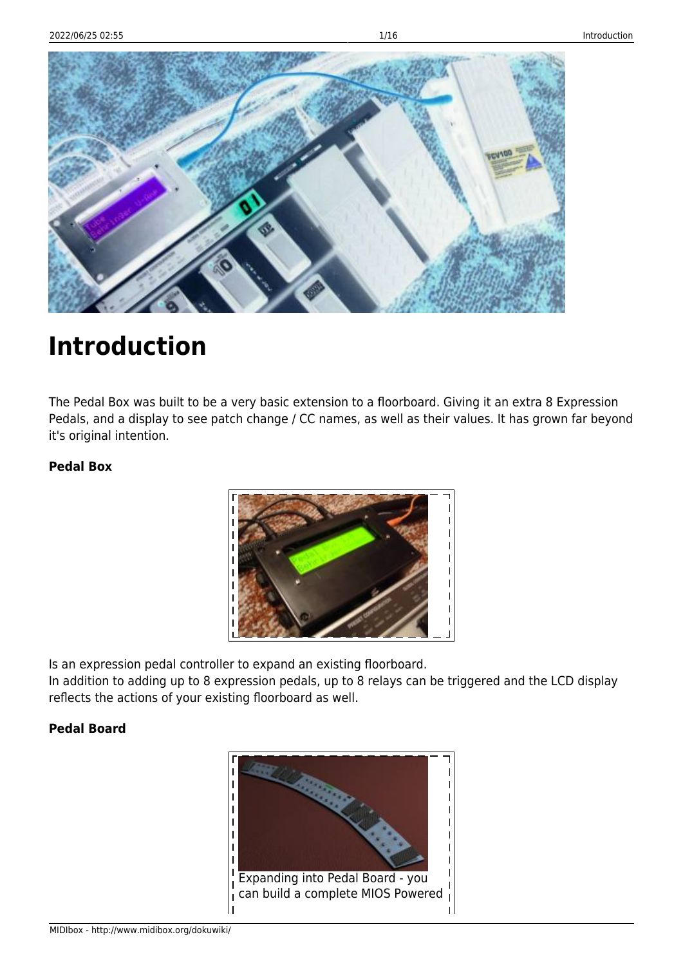

# **Introduction**

The Pedal Box was built to be a very basic extension to a floorboard. Giving it an extra 8 Expression Pedals, and a display to see patch change / CC names, as well as their values. It has grown far beyond it's original intention.

#### **Pedal Box**



Is an expression pedal controller to expand an existing floorboard.

In addition to adding up to 8 expression pedals, up to 8 relays can be triggered and the LCD display reflects the actions of your existing floorboard as well.

#### **Pedal Board**

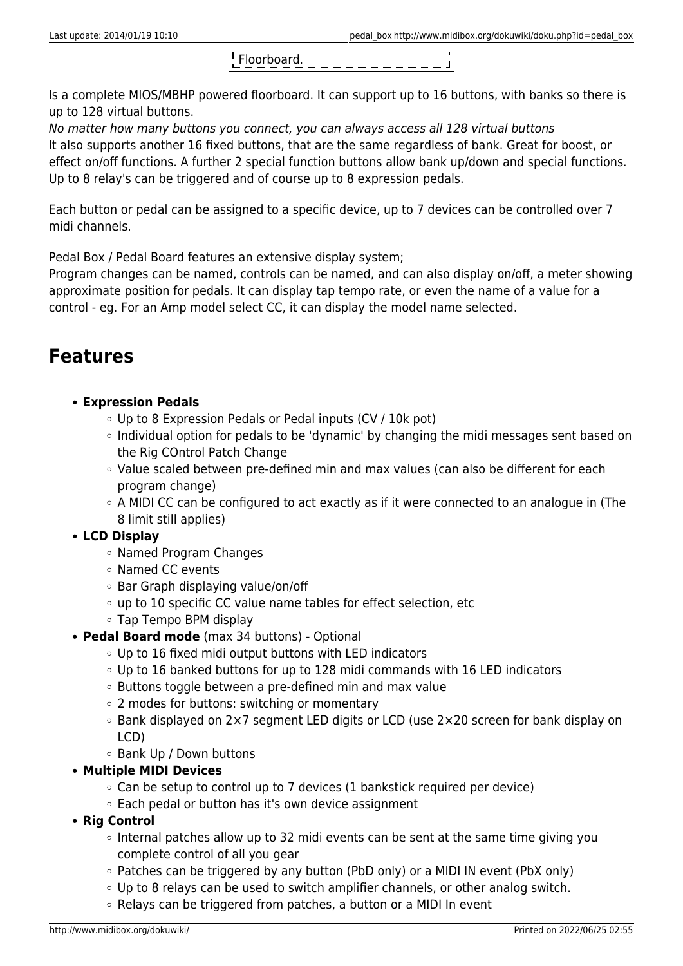

Is a complete MIOS/MBHP powered floorboard. It can support up to 16 buttons, with banks so there is up to 128 virtual buttons.

No matter how many buttons you connect, you can always access all 128 virtual buttons It also supports another 16 fixed buttons, that are the same regardless of bank. Great for boost, or effect on/off functions. A further 2 special function buttons allow bank up/down and special functions. Up to 8 relay's can be triggered and of course up to 8 expression pedals.

Each button or pedal can be assigned to a specific device, up to 7 devices can be controlled over 7 midi channels.

Pedal Box / Pedal Board features an extensive display system;

Program changes can be named, controls can be named, and can also display on/off, a meter showing approximate position for pedals. It can display tap tempo rate, or even the name of a value for a control - eg. For an Amp model select CC, it can display the model name selected.

# **Features**

- **Expression Pedals**
	- Up to 8 Expression Pedals or Pedal inputs (CV / 10k pot)
	- $\circ$  Individual option for pedals to be 'dynamic' by changing the midi messages sent based on the Rig COntrol Patch Change
	- Value scaled between pre-defined min and max values (can also be different for each program change)
	- A MIDI CC can be configured to act exactly as if it were connected to an analogue in (The 8 limit still applies)

### **LCD Display**

- Named Program Changes
- Named CC events
- Bar Graph displaying value/on/off
- up to 10 specific CC value name tables for effect selection, etc
- Tap Tempo BPM display
- **Pedal Board mode** (max 34 buttons) Optional
	- $\circ$  Up to 16 fixed midi output buttons with LED indicators
	- Up to 16 banked buttons for up to 128 midi commands with 16 LED indicators
	- Buttons toggle between a pre-defined min and max value
	- 2 modes for buttons: switching or momentary
	- Bank displayed on 2×7 segment LED digits or LCD (use 2×20 screen for bank display on LCD)
	- Bank Up / Down buttons
- **Multiple MIDI Devices**
	- $\circ$  Can be setup to control up to 7 devices (1 bankstick required per device)
	- $\circ$  Each pedal or button has it's own device assignment
- **Rig Control**
	- $\circ$  Internal patches allow up to 32 midi events can be sent at the same time giving you complete control of all you gear
	- Patches can be triggered by any button (PbD only) or a MIDI IN event (PbX only)
	- $\circ$  Up to 8 relavs can be used to switch amplifier channels, or other analog switch.
	- $\circ$  Relays can be triggered from patches, a button or a MIDI In event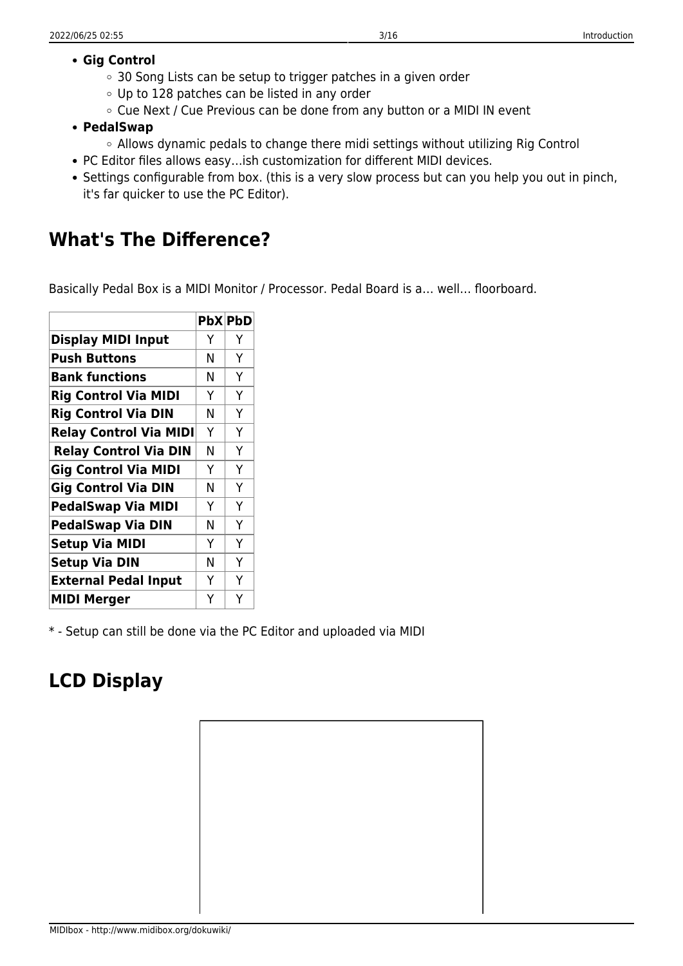#### **Gig Control**

- 30 Song Lists can be setup to trigger patches in a given order
- Up to 128 patches can be listed in any order
- Cue Next / Cue Previous can be done from any button or a MIDI IN event
- **PedalSwap**
	- Allows dynamic pedals to change there midi settings without utilizing Rig Control
- PC Editor files allows easy…ish customization for different MIDI devices.
- Settings configurable from box. (this is a very slow process but can you help you out in pinch, it's far quicker to use the PC Editor).

# **What's The Difference?**

Basically Pedal Box is a MIDI Monitor / Processor. Pedal Board is a… well… floorboard.

|                               |   | <b>PbX PbD</b> |
|-------------------------------|---|----------------|
| <b>Display MIDI Input</b>     | Y | Y              |
| <b>Push Buttons</b>           | Ν | Y              |
| <b>Bank functions</b>         | N | Y              |
| <b>Rig Control Via MIDI</b>   | Υ | Y              |
| <b>Rig Control Via DIN</b>    | Ν | Y              |
| <b>Relay Control Via MIDI</b> | Y | Y              |
| <b>Relay Control Via DIN</b>  | N | Y              |
| <b>Gig Control Via MIDI</b>   | Y | Y              |
| <b>Gig Control Via DIN</b>    | N | Y              |
| <b>PedalSwap Via MIDI</b>     | Y | Y              |
| <b>PedalSwap Via DIN</b>      | Ν | Y              |
| <b>Setup Via MIDI</b>         | Y | Y              |
| <b>Setup Via DIN</b>          | N | Y              |
| <b>External Pedal Input</b>   | Y | Y              |
| <b>MIDI Merger</b>            | Y | Ý              |

\* - Setup can still be done via the PC Editor and uploaded via MIDI

# **LCD Display**

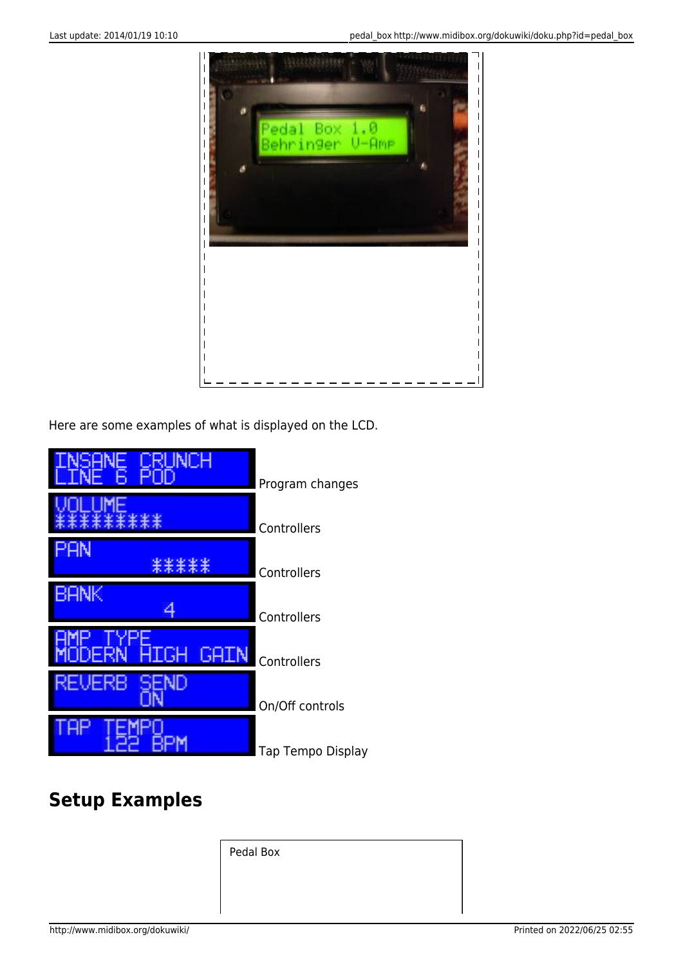

Here are some examples of what is displayed on the LCD.



# **Setup Examples**

Pedal Box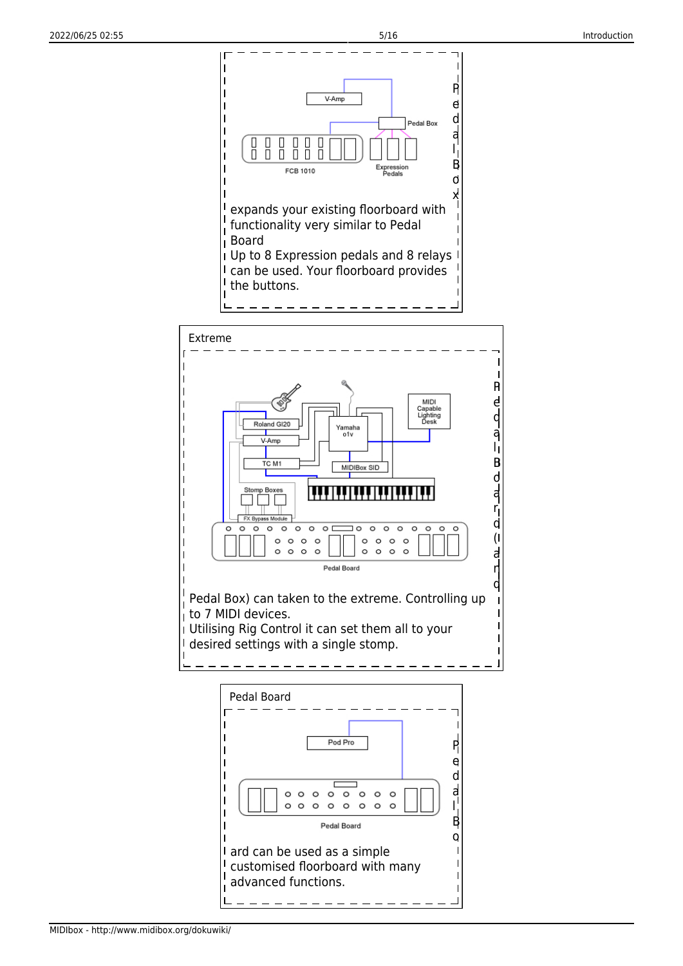

MIDIbox - http://www.midibox.org/dokuwiki/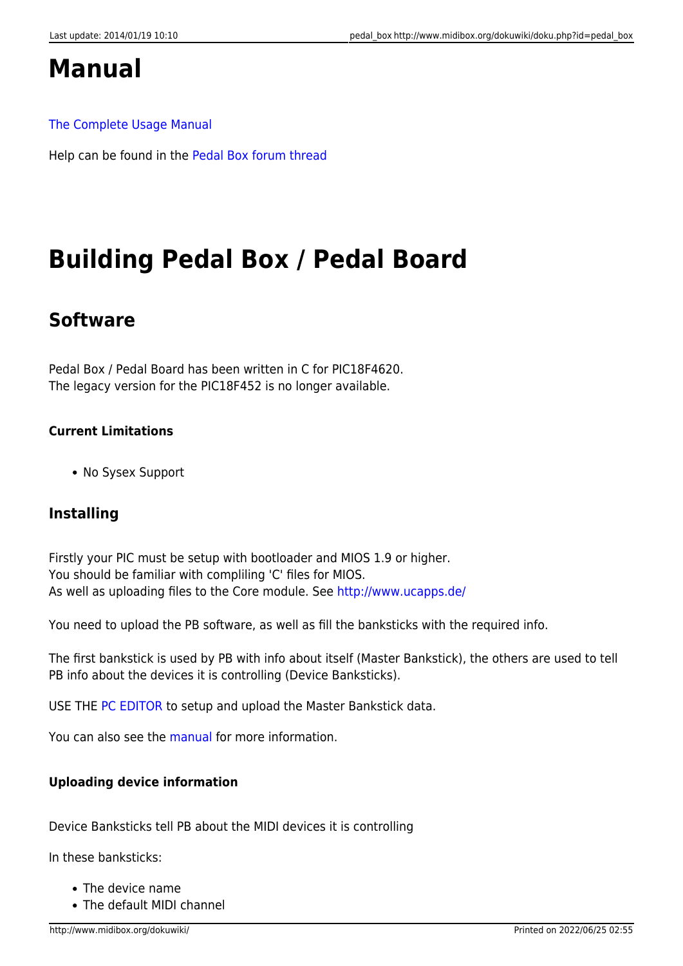# **Manual**

#### [The Complete Usage Manual](http://svnmios.midibox.org/filedetails.php?repname=svn.mios&path=%2Ftrunk%2Fapps%2Fcontrollers%2Fpedalbox_v2%2Fdocs%2FPB_Manual.pdf)

Help can be found in the [Pedal Box forum thread](http://midibox.org/forums/topic/9081-the-pedal-box-and-pedal-board-thread)

# **Building Pedal Box / Pedal Board**

# **Software**

Pedal Box / Pedal Board has been written in C for PIC18F4620. The legacy version for the PIC18F452 is no longer available.

#### **Current Limitations**

• No Sysex Support

## **Installing**

Firstly your PIC must be setup with bootloader and MIOS 1.9 or higher. You should be familiar with compliling 'C' files for MIOS. As well as uploading files to the Core module. See<http://www.ucapps.de/>

You need to upload the PB software, as well as fill the banksticks with the required info.

The first bankstick is used by PB with info about itself (Master Bankstick), the others are used to tell PB info about the devices it is controlling (Device Banksticks).

USE THE [PC EDITOR](http://www.midibox.org/dokuwiki/doku.php?id=pedal_box:pc_editor_manual) to setup and upload the Master Bankstick data.

You can also see the [manual](http://www.midibox.org/dokuwiki/doku.php?id=pedal_box:manual) for more information.

#### **Uploading device information**

Device Banksticks tell PB about the MIDI devices it is controlling

In these banksticks:

- The device name
- The default MIDI channel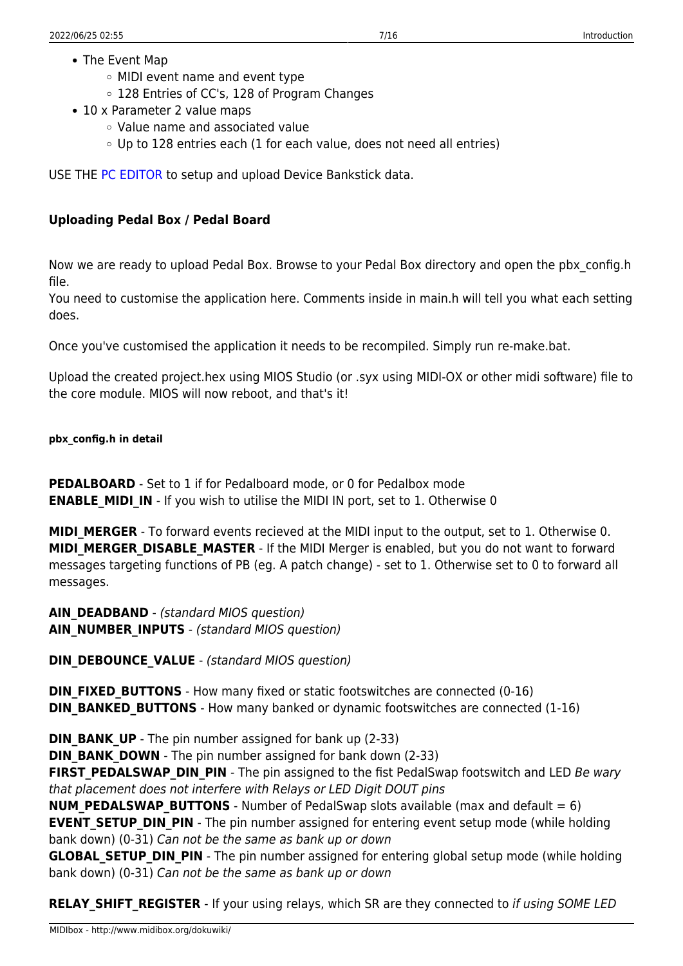- The Event Map
	- MIDI event name and event type
	- 128 Entries of CC's, 128 of Program Changes
- 10 x Parameter 2 value maps
	- Value name and associated value
	- Up to 128 entries each (1 for each value, does not need all entries)

USE THE [PC EDITOR](http://www.midibox.org/dokuwiki/doku.php?id=pedal_box:pc_editor_manual) to setup and upload Device Bankstick data.

#### **Uploading Pedal Box / Pedal Board**

Now we are ready to upload Pedal Box. Browse to your Pedal Box directory and open the pbx\_config.h file.

You need to customise the application here. Comments inside in main.h will tell you what each setting does.

Once you've customised the application it needs to be recompiled. Simply run re-make.bat.

Upload the created project.hex using MIOS Studio (or .syx using MIDI-OX or other midi software) file to the core module. MIOS will now reboot, and that's it!

#### **pbx\_config.h in detail**

**PEDALBOARD** - Set to 1 if for Pedalboard mode, or 0 for Pedalbox mode **ENABLE\_MIDI\_IN** - If you wish to utilise the MIDI IN port, set to 1. Otherwise 0

**MIDI MERGER** - To forward events recieved at the MIDI input to the output, set to 1. Otherwise 0. **MIDI\_MERGER\_DISABLE\_MASTER** - If the MIDI Merger is enabled, but you do not want to forward messages targeting functions of PB (eg. A patch change) - set to 1. Otherwise set to 0 to forward all messages.

**AIN DEADBAND** - (standard MIOS question) **AIN\_NUMBER\_INPUTS** - (standard MIOS question)

**DIN\_DEBOUNCE\_VALUE** - (standard MIOS question)

**DIN\_FIXED\_BUTTONS** - How many fixed or static footswitches are connected (0-16) **DIN\_BANKED\_BUTTONS** - How many banked or dynamic footswitches are connected (1-16)

**DIN\_BANK\_UP** - The pin number assigned for bank up (2-33)

**DIN\_BANK\_DOWN** - The pin number assigned for bank down (2-33)

**FIRST\_PEDALSWAP\_DIN\_PIN** - The pin assigned to the fist PedalSwap footswitch and LED Be wary that placement does not interfere with Relays or LED Digit DOUT pins

**NUM PEDALSWAP BUTTONS** - Number of PedalSwap slots available (max and default = 6) **EVENT SETUP DIN PIN** - The pin number assigned for entering event setup mode (while holding bank down) (0-31) Can not be the same as bank up or down

**GLOBAL SETUP DIN PIN** - The pin number assigned for entering global setup mode (while holding bank down) (0-31) Can not be the same as bank up or down

**RELAY SHIFT REGISTER** - If your using relays, which SR are they connected to if using SOME LED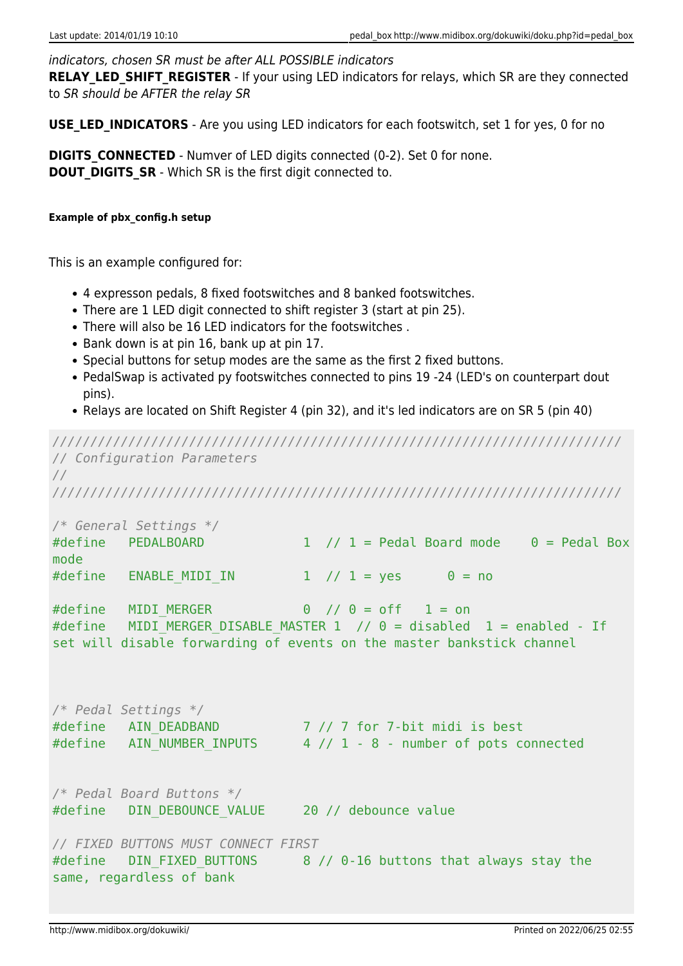#### indicators, chosen SR must be after ALL POSSIBLE indicators

**RELAY LED SHIFT REGISTER** - If your using LED indicators for relays, which SR are they connected to SR should be AFTER the relay SR

**USE LED INDICATORS** - Are you using LED indicators for each footswitch, set 1 for yes, 0 for no

**DIGITS CONNECTED** - Numver of LED digits connected (0-2). Set 0 for none. **DOUT DIGITS SR** - Which SR is the first digit connected to.

#### **Example of pbx\_config.h setup**

This is an example configured for:

- 4 expresson pedals, 8 fixed footswitches and 8 banked footswitches.
- There are 1 LED digit connected to shift register 3 (start at pin 25).
- There will also be 16 LED indicators for the footswitches .
- Bank down is at pin 16, bank up at pin 17.
- Special buttons for setup modes are the same as the first 2 fixed buttons.
- PedalSwap is activated py footswitches connected to pins 19 -24 (LED's on counterpart dout pins).
- Relays are located on Shift Register 4 (pin 32), and it's led indicators are on SR 5 (pin 40)

*/////////////////////////////////////////////////////////////////////////// // Configuration Parameters // /////////////////////////////////////////////////////////////////////////// /\* General Settings \*/* #define PEDALBOARD 1 // 1 = Pedal Board mode  $0$  = Pedal Box mode #define ENABLE\_MIDI\_IN 1 // 1 = yes 0 = no #define MIDI MERGER  $\begin{array}{ccc} 0 & // & 0 = off \\ 1 & = on \end{array}$ #define MIDI MERGER DISABLE MASTER  $1$  // 0 = disabled 1 = enabled - If set will disable forwarding of events on the master bankstick channel */\* Pedal Settings \*/* #define AIN DEADBAND 7 // 7 for 7-bit midi is best #define AIN\_NUMBER\_INPUTS 4 // 1 - 8 - number of pots connected */\* Pedal Board Buttons \*/* #define DIN DEBOUNCE VALUE 20 // debounce value

#### *// FIXED BUTTONS MUST CONNECT FIRST*

#define DIN FIXED BUTTONS 8 // 0-16 buttons that always stay the same, regardless of bank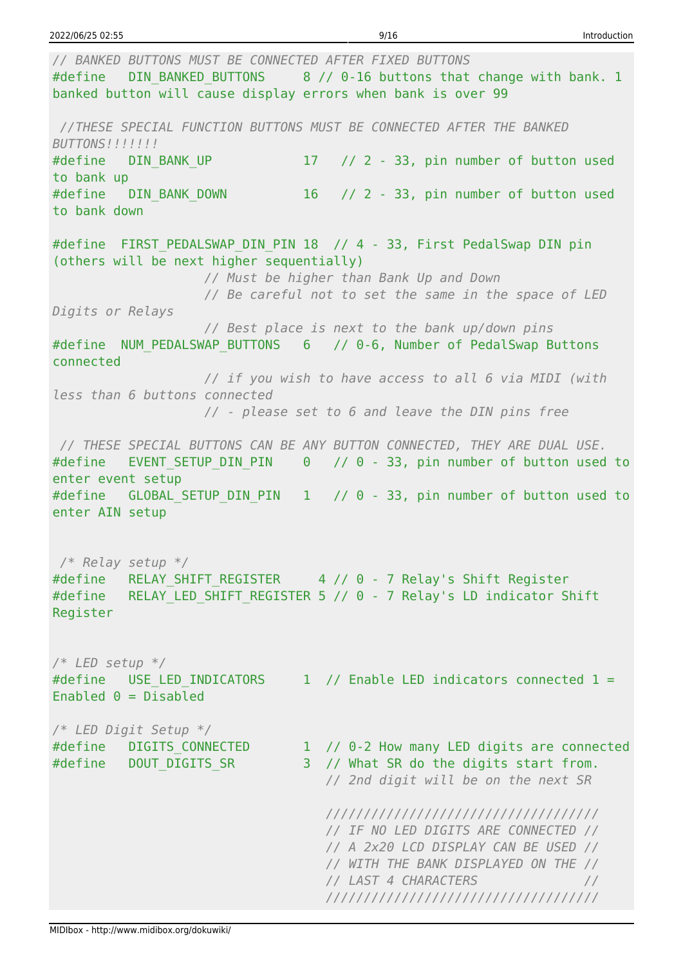*// BANKED BUTTONS MUST BE CONNECTED AFTER FIXED BUTTONS* #define DIN BANKED BUTTONS 8 // 0-16 buttons that change with bank. 1 banked button will cause display errors when bank is over 99 *//THESE SPECIAL FUNCTION BUTTONS MUST BE CONNECTED AFTER THE BANKED BUTTONS!!!!!!!* #define DIN BANK UP 17 // 2 - 33, pin number of button used to bank up #define DIN BANK DOWN 16 // 2 - 33, pin number of button used to bank down #define FIRST PEDALSWAP DIN PIN 18 // 4 - 33, First PedalSwap DIN pin (others will be next higher sequentially) *// Must be higher than Bank Up and Down // Be careful not to set the same in the space of LED Digits or Relays // Best place is next to the bank up/down pins* #define NUM\_PEDALSWAP\_BUTTONS 6 // 0-6, Number of PedalSwap Buttons connected *// if you wish to have access to all 6 via MIDI (with less than 6 buttons connected // - please set to 6 and leave the DIN pins free // THESE SPECIAL BUTTONS CAN BE ANY BUTTON CONNECTED, THEY ARE DUAL USE.* #define EVENT SETUP DIN PIN 0 // 0 - 33, pin number of button used to enter event setup #define GLOBAL SETUP DIN PIN 1 // 0 - 33, pin number of button used to enter AIN setup */\* Relay setup \*/* #define RELAY SHIFT REGISTER 4 // 0 - 7 Relay's Shift Register #define RELAY LED SHIFT REGISTER 5 // 0 - 7 Relay's LD indicator Shift Register */\* LED setup \*/* #define USE LED INDICATORS 1 // Enable LED indicators connected  $1 =$ Enabled  $0 = Distance$ */\* LED Digit Setup \*/* #define DIGITS CONNECTED 1 // 0-2 How many LED digits are connected #define DOUT DIGITS SR 3 // What SR do the digits start from. *// 2nd digit will be on the next SR //////////////////////////////////// // IF NO LED DIGITS ARE CONNECTED // // A 2x20 LCD DISPLAY CAN BE USED // // WITH THE BANK DISPLAYED ON THE // // LAST 4 CHARACTERS // ////////////////////////////////////*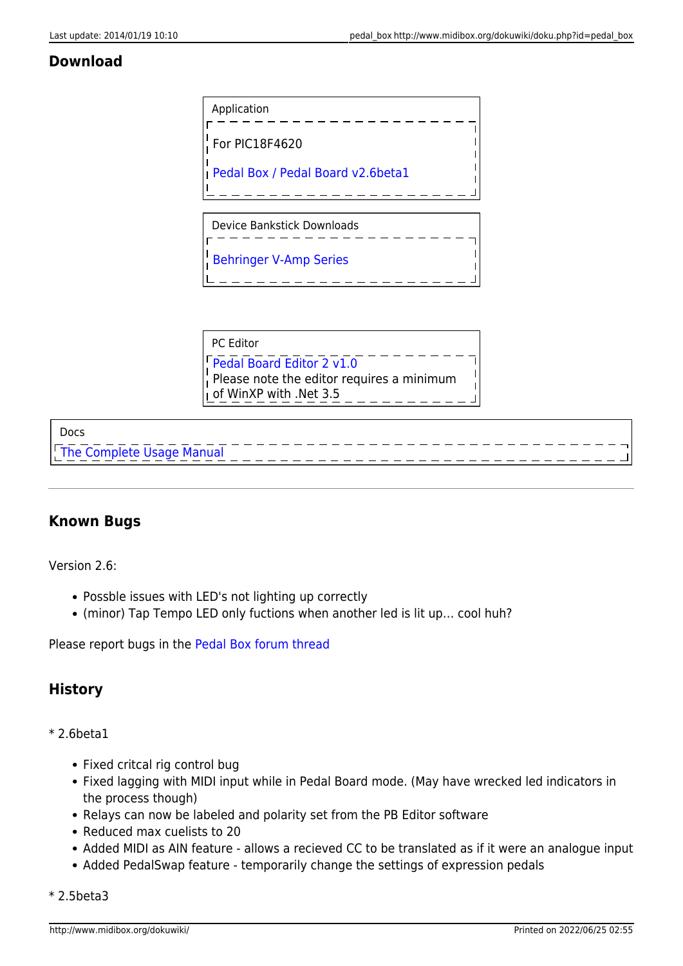### **Download**



| l PC Editor                                                                                      |  |
|--------------------------------------------------------------------------------------------------|--|
| Pedal Board Editor 2 v1.0<br>Please note the editor requires a minimum<br>of WinXP with .Net 3.5 |  |
|                                                                                                  |  |

#### Docs

[The Complete Usage Manual](http://www.midibox.org/dokuwiki/lib/exe/fetch.php?media=mcrozier:pb_manual.pdf)

## **Known Bugs**

Version 2.6:

- Possble issues with LED's not lighting up correctly
- (minor) Tap Tempo LED only fuctions when another led is lit up… cool huh?

Please report bugs in the [Pedal Box forum thread](http://midibox.org/forums/topic/9081-the-pedal-box-and-pedal-board-thread)

## **History**

#### \* 2.6beta1

- Fixed critcal rig control bug
- Fixed lagging with MIDI input while in Pedal Board mode. (May have wrecked led indicators in the process though)
- Relays can now be labeled and polarity set from the PB Editor software
- Reduced max cuelists to 20
- Added MIDI as AIN feature allows a recieved CC to be translated as if it were an analogue input
- Added PedalSwap feature temporarily change the settings of expression pedals

\* 2.5beta3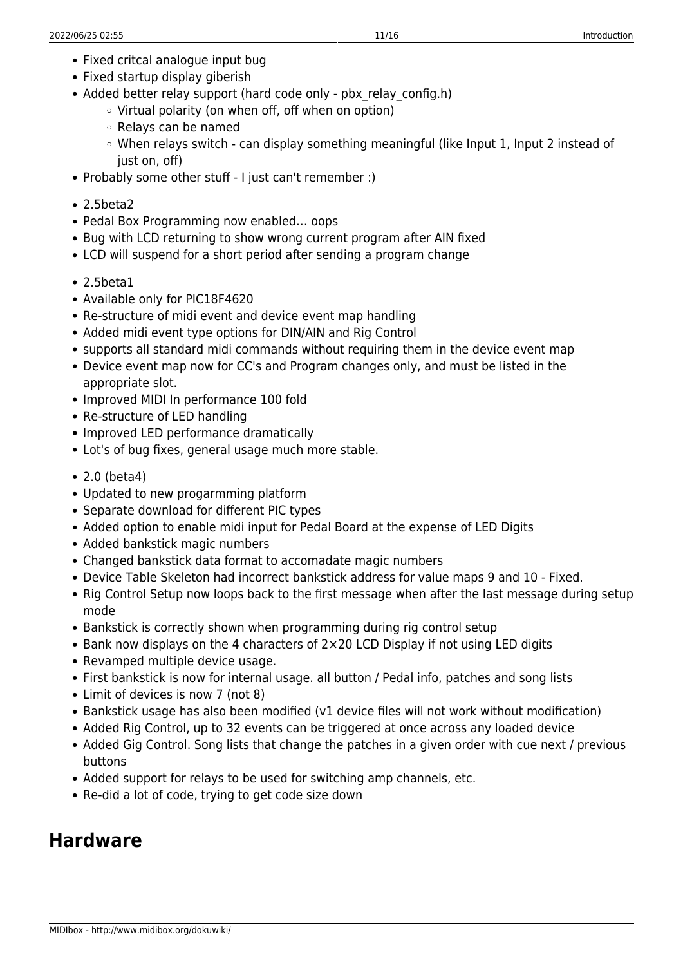- Fixed critcal analogue input bug
- Fixed startup display giberish
- Added better relay support (hard code only pbx relay config.h)
	- $\circ$  Virtual polarity (on when off, off when on option)
	- Relays can be named
	- When relays switch can display something meaningful (like Input 1, Input 2 instead of just on, off)
- Probably some other stuff I just can't remember :)
- 2.5beta2
- Pedal Box Programming now enabled… oops
- Bug with LCD returning to show wrong current program after AIN fixed
- LCD will suspend for a short period after sending a program change
- 2.5beta1
- Available only for PIC18F4620
- Re-structure of midi event and device event map handling
- Added midi event type options for DIN/AIN and Rig Control
- supports all standard midi commands without requiring them in the device event map
- Device event map now for CC's and Program changes only, and must be listed in the appropriate slot.
- Improved MIDI In performance 100 fold
- Re-structure of LED handling
- Improved LED performance dramatically
- Lot's of bug fixes, general usage much more stable.
- 2.0 (beta4)
- Updated to new progarmming platform
- Separate download for different PIC types
- Added option to enable midi input for Pedal Board at the expense of LED Digits
- Added bankstick magic numbers
- Changed bankstick data format to accomadate magic numbers
- Device Table Skeleton had incorrect bankstick address for value maps 9 and 10 Fixed.
- Rig Control Setup now loops back to the first message when after the last message during setup mode
- Bankstick is correctly shown when programming during rig control setup
- Bank now displays on the 4 characters of 2×20 LCD Display if not using LED digits
- Revamped multiple device usage.
- First bankstick is now for internal usage. all button / Pedal info, patches and song lists
- Limit of devices is now 7 (not 8)
- Bankstick usage has also been modified (v1 device files will not work without modification)
- Added Rig Control, up to 32 events can be triggered at once across any loaded device
- Added Gig Control. Song lists that change the patches in a given order with cue next / previous buttons
- Added support for relays to be used for switching amp channels, etc.
- Re-did a lot of code, trying to get code size down

# **Hardware**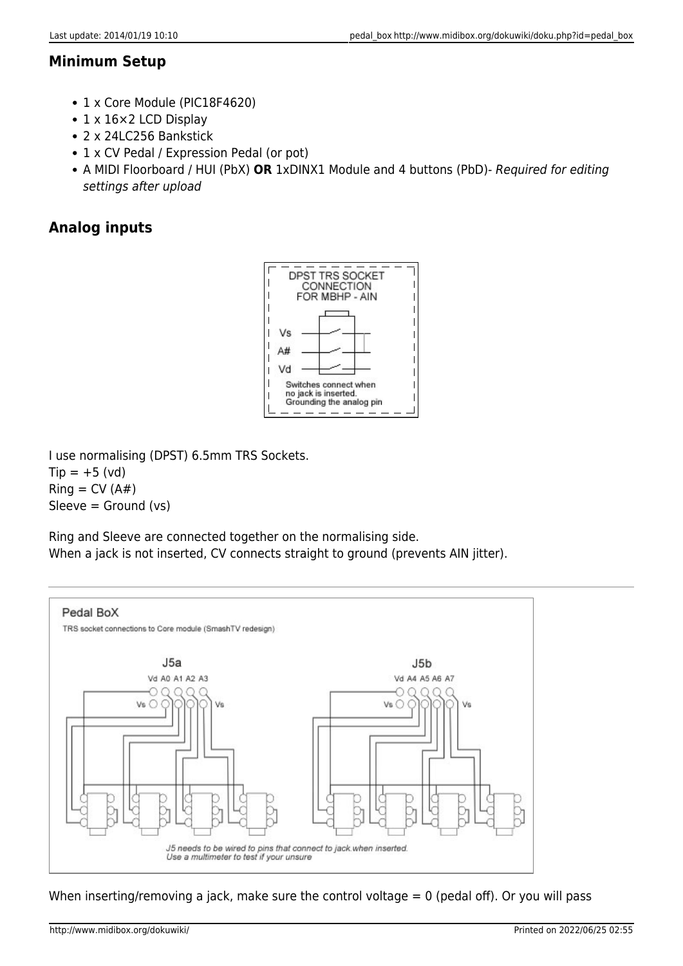## **Minimum Setup**

- 1 x Core Module (PIC18F4620)
- 1 x 16 × 2 LCD Display
- 2 x 24LC256 Bankstick
- 1 x CV Pedal / Expression Pedal (or pot)
- A MIDI Floorboard / HUI (PbX) **OR** 1xDINX1 Module and 4 buttons (PbD)- Required for editing settings after upload

# **Analog inputs**



I use normalising (DPST) 6.5mm TRS Sockets.  $Tip = +5 (vd)$  $Ring = CV(A#)$  $Sleeve = Ground (vs)$ 

Ring and Sleeve are connected together on the normalising side. When a jack is not inserted, CV connects straight to ground (prevents AIN jitter).



When inserting/removing a jack, make sure the control voltage = 0 (pedal off). Or you will pass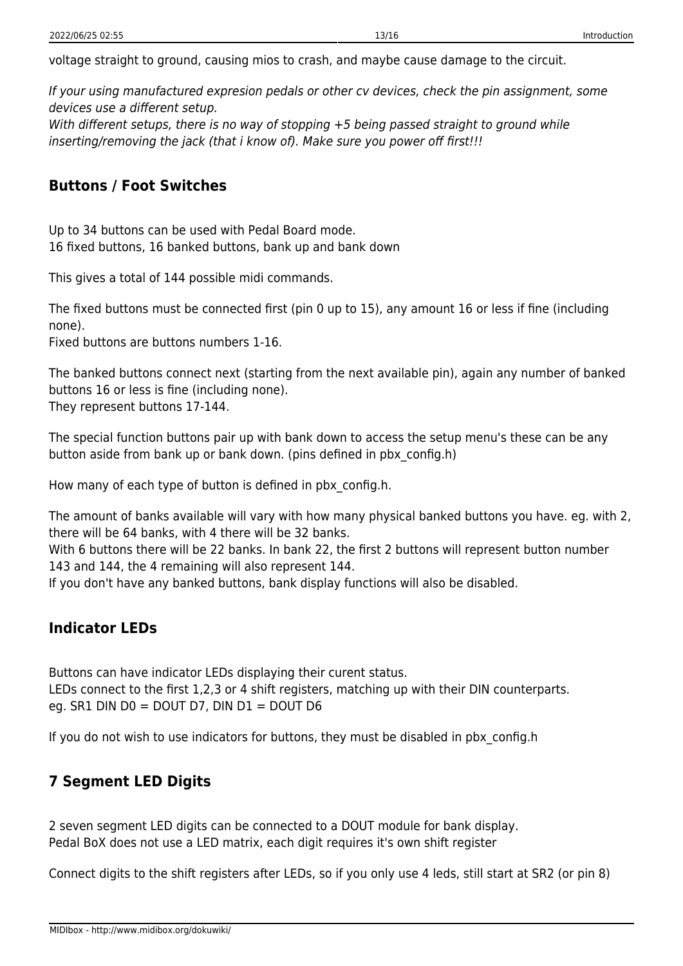voltage straight to ground, causing mios to crash, and maybe cause damage to the circuit.

If your using manufactured expresion pedals or other cv devices, check the pin assignment, some devices use a different setup.

With different setups, there is no way of stopping +5 being passed straight to ground while inserting/removing the jack (that i know of). Make sure you power off first!!!

### **Buttons / Foot Switches**

Up to 34 buttons can be used with Pedal Board mode. 16 fixed buttons, 16 banked buttons, bank up and bank down

This gives a total of 144 possible midi commands.

The fixed buttons must be connected first (pin 0 up to 15), any amount 16 or less if fine (including none).

Fixed buttons are buttons numbers 1-16.

The banked buttons connect next (starting from the next available pin), again any number of banked buttons 16 or less is fine (including none). They represent buttons 17-144.

The special function buttons pair up with bank down to access the setup menu's these can be any button aside from bank up or bank down. (pins defined in pbx\_config.h)

How many of each type of button is defined in pbx\_config.h.

The amount of banks available will vary with how many physical banked buttons you have. eg. with 2, there will be 64 banks, with 4 there will be 32 banks.

With 6 buttons there will be 22 banks. In bank 22, the first 2 buttons will represent button number 143 and 144, the 4 remaining will also represent 144.

If you don't have any banked buttons, bank display functions will also be disabled.

## **Indicator LEDs**

Buttons can have indicator LEDs displaying their curent status. LEDs connect to the first 1,2,3 or 4 shift registers, matching up with their DIN counterparts. eg. SR1 DIN  $D0 = DOUT D7$ , DIN  $D1 = DOUT D6$ 

If you do not wish to use indicators for buttons, they must be disabled in pbx\_config.h

# **7 Segment LED Digits**

2 seven segment LED digits can be connected to a DOUT module for bank display. Pedal BoX does not use a LED matrix, each digit requires it's own shift register

Connect digits to the shift registers after LEDs, so if you only use 4 leds, still start at SR2 (or pin 8)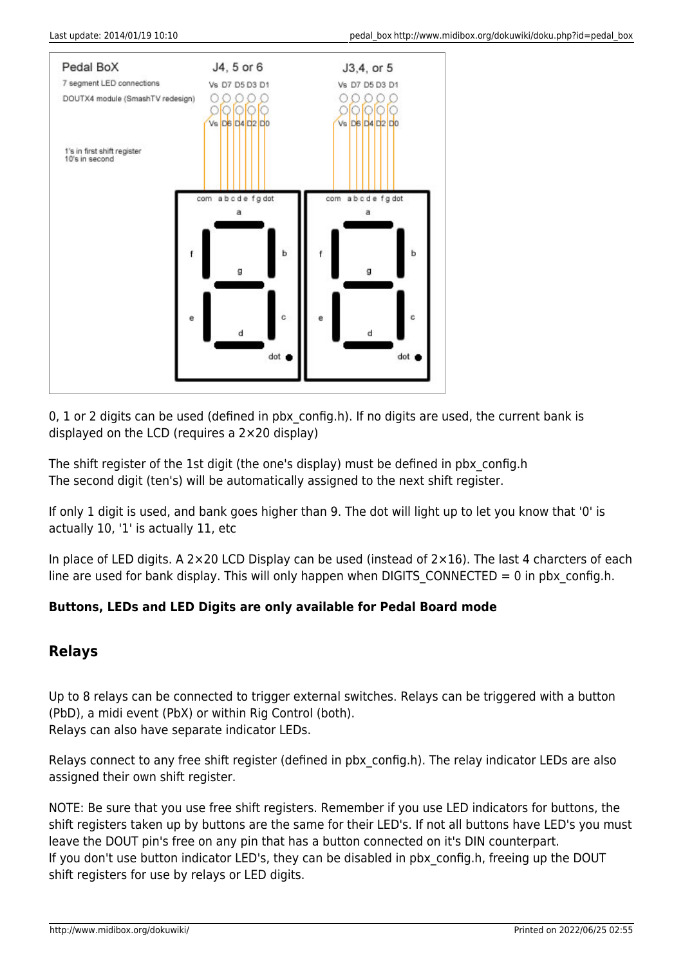

0, 1 or 2 digits can be used (defined in pbx config.h). If no digits are used, the current bank is displayed on the LCD (requires a 2×20 display)

The shift register of the 1st digit (the one's display) must be defined in pbx\_config.h The second digit (ten's) will be automatically assigned to the next shift register.

If only 1 digit is used, and bank goes higher than 9. The dot will light up to let you know that '0' is actually 10, '1' is actually 11, etc

In place of LED digits. A 2×20 LCD Display can be used (instead of  $2\times16$ ). The last 4 charcters of each line are used for bank display. This will only happen when DIGITS CONNECTED = 0 in pbx config.h.

### **Buttons, LEDs and LED Digits are only available for Pedal Board mode**

## **Relays**

Up to 8 relays can be connected to trigger external switches. Relays can be triggered with a button (PbD), a midi event (PbX) or within Rig Control (both). Relays can also have separate indicator LEDs.

Relays connect to any free shift register (defined in pbx\_config.h). The relay indicator LEDs are also assigned their own shift register.

NOTE: Be sure that you use free shift registers. Remember if you use LED indicators for buttons, the shift registers taken up by buttons are the same for their LED's. If not all buttons have LED's you must leave the DOUT pin's free on any pin that has a button connected on it's DIN counterpart. If you don't use button indicator LED's, they can be disabled in pbx config.h, freeing up the DOUT shift registers for use by relays or LED digits.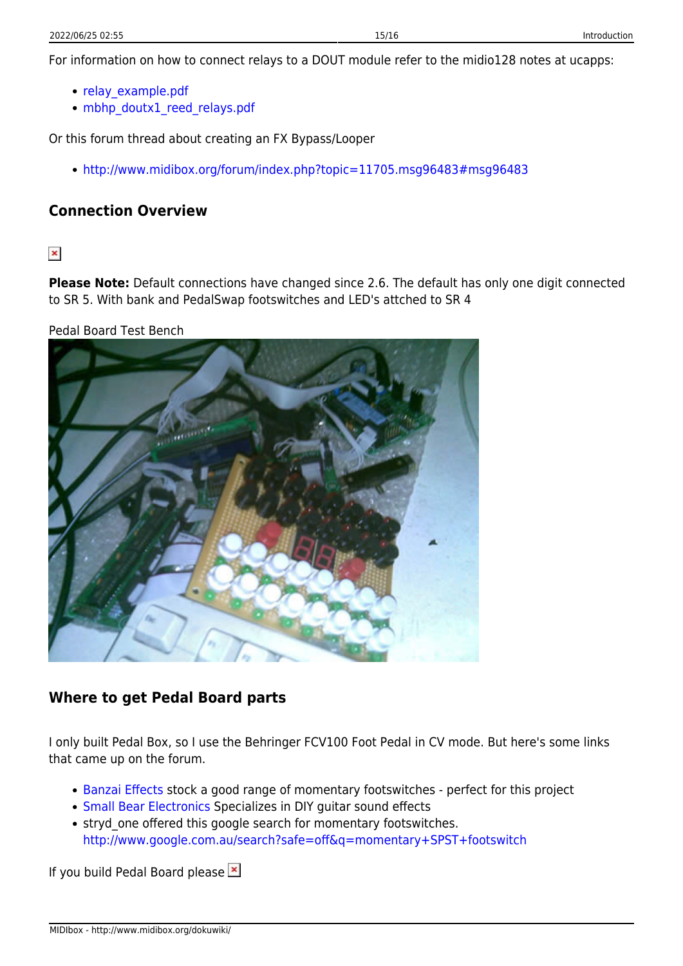For information on how to connect relays to a DOUT module refer to the midio128 notes at ucapps:

- relay example.pdf
- [mbhp\\_doutx1\\_reed\\_relays.pdf](http://www.ucapps.de/mbhp/mbhp_doutx1_reed_relays.pdf)

Or this forum thread about creating an FX Bypass/Looper

<http://www.midibox.org/forum/index.php?topic=11705.msg96483#msg96483>

# **Connection Overview**

 $\pmb{\times}$ 

**Please Note:** Default connections have changed since 2.6. The default has only one digit connected to SR 5. With bank and PedalSwap footswitches and LED's attched to SR 4

Pedal Board Test Bench



# **Where to get Pedal Board parts**

I only built Pedal Box, so I use the Behringer FCV100 Foot Pedal in CV mode. But here's some links that came up on the forum.

- [Banzai Effects](http://www.banzaimusic.com/Pushbutton-Footswitches-Momentary) stock a good range of momentary footswitches perfect for this project
- [Small Bear Electronics](http://www.smallbearelec.com/) Specializes in DIY quitar sound effects
- stryd one offered this google search for momentary footswitches. <http://www.google.com.au/search?safe=off&q=momentary+SPST+footswitch>

If you build Pedal Board please  $\mathbb{E}$